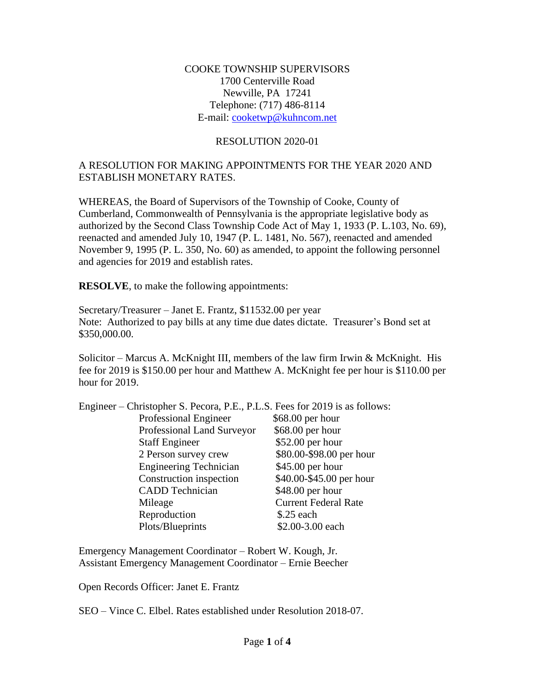## COOKE TOWNSHIP SUPERVISORS 1700 Centerville Road Newville, PA 17241 Telephone: (717) 486-8114 E-mail: [cooketwp@kuhncom.net](mailto:cooketwp@kuhncom.net)

## RESOLUTION 2020-01

## A RESOLUTION FOR MAKING APPOINTMENTS FOR THE YEAR 2020 AND ESTABLISH MONETARY RATES.

WHEREAS, the Board of Supervisors of the Township of Cooke, County of Cumberland, Commonwealth of Pennsylvania is the appropriate legislative body as authorized by the Second Class Township Code Act of May 1, 1933 (P. L.103, No. 69), reenacted and amended July 10, 1947 (P. L. 1481, No. 567), reenacted and amended November 9, 1995 (P. L. 350, No. 60) as amended, to appoint the following personnel and agencies for 2019 and establish rates.

**RESOLVE**, to make the following appointments:

Secretary/Treasurer – Janet E. Frantz, \$11532.00 per year Note: Authorized to pay bills at any time due dates dictate. Treasurer's Bond set at \$350,000.00.

Solicitor – Marcus A. McKnight III, members of the law firm Irwin & McKnight. His fee for 2019 is \$150.00 per hour and Matthew A. McKnight fee per hour is \$110.00 per hour for 2019.

| Engineer – Christopher S. Pecora, P.E., P.L.S. Fees for 2019 is as follows: |                             |
|-----------------------------------------------------------------------------|-----------------------------|
| Professional Engineer                                                       | \$68.00 per hour            |
| Professional Land Surveyor                                                  | \$68.00 per hour            |
| <b>Staff Engineer</b>                                                       | \$52.00 per hour            |
| 2 Person survey crew                                                        | \$80.00-\$98.00 per hour    |
| <b>Engineering Technician</b>                                               | \$45.00 per hour            |
| Construction inspection                                                     | \$40.00-\$45.00 per hour    |
| <b>CADD</b> Technician                                                      | \$48.00 per hour            |
| Mileage                                                                     | <b>Current Federal Rate</b> |
| Reproduction                                                                | $$.25$ each                 |
| Plots/Blueprints                                                            | \$2.00-3.00 each            |

Emergency Management Coordinator – Robert W. Kough, Jr. Assistant Emergency Management Coordinator – Ernie Beecher

Open Records Officer: Janet E. Frantz

SEO – Vince C. Elbel. Rates established under Resolution 2018-07.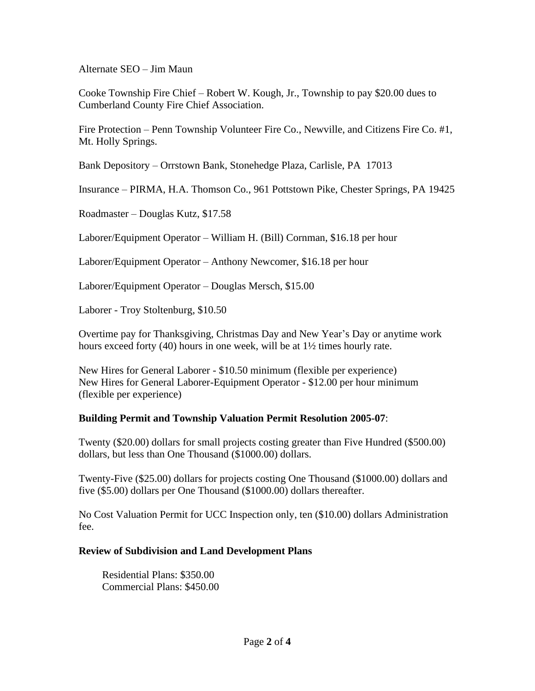Alternate SEO – Jim Maun

Cooke Township Fire Chief – Robert W. Kough, Jr., Township to pay \$20.00 dues to Cumberland County Fire Chief Association.

Fire Protection – Penn Township Volunteer Fire Co., Newville, and Citizens Fire Co. #1, Mt. Holly Springs.

Bank Depository – Orrstown Bank, Stonehedge Plaza, Carlisle, PA 17013

Insurance – PIRMA, H.A. Thomson Co., 961 Pottstown Pike, Chester Springs, PA 19425

Roadmaster – Douglas Kutz, \$17.58

Laborer/Equipment Operator – William H. (Bill) Cornman, \$16.18 per hour

Laborer/Equipment Operator – Anthony Newcomer, \$16.18 per hour

Laborer/Equipment Operator – Douglas Mersch, \$15.00

Laborer - Troy Stoltenburg, \$10.50

Overtime pay for Thanksgiving, Christmas Day and New Year's Day or anytime work hours exceed forty (40) hours in one week, will be at 1½ times hourly rate.

New Hires for General Laborer - \$10.50 minimum (flexible per experience) New Hires for General Laborer-Equipment Operator - \$12.00 per hour minimum (flexible per experience)

## **Building Permit and Township Valuation Permit Resolution 2005-07**:

Twenty (\$20.00) dollars for small projects costing greater than Five Hundred (\$500.00) dollars, but less than One Thousand (\$1000.00) dollars.

Twenty-Five (\$25.00) dollars for projects costing One Thousand (\$1000.00) dollars and five (\$5.00) dollars per One Thousand (\$1000.00) dollars thereafter.

No Cost Valuation Permit for UCC Inspection only, ten (\$10.00) dollars Administration fee.

#### **Review of Subdivision and Land Development Plans**

 Residential Plans: \$350.00 Commercial Plans: \$450.00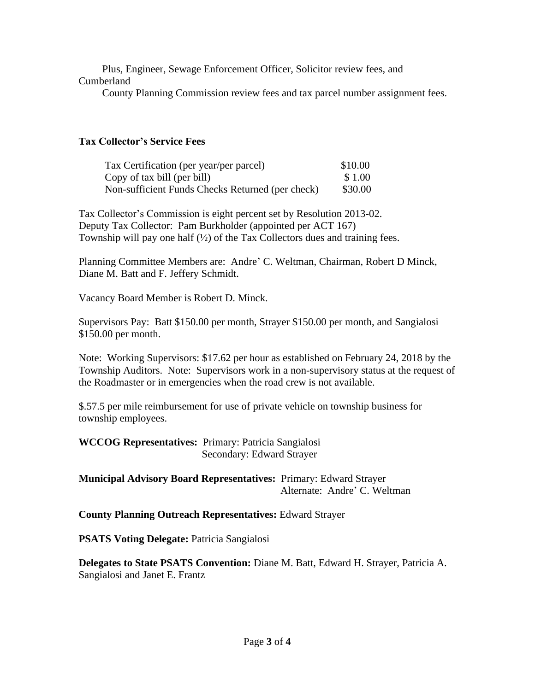Plus, Engineer, Sewage Enforcement Officer, Solicitor review fees, and Cumberland

County Planning Commission review fees and tax parcel number assignment fees.

## **Tax Collector's Service Fees**

| Tax Certification (per year/per parcel)          | \$10.00 |
|--------------------------------------------------|---------|
| Copy of tax bill (per bill)                      | \$1.00  |
| Non-sufficient Funds Checks Returned (per check) | \$30.00 |

Tax Collector's Commission is eight percent set by Resolution 2013-02. Deputy Tax Collector: Pam Burkholder (appointed per ACT 167) Township will pay one half (½) of the Tax Collectors dues and training fees.

Planning Committee Members are: Andre' C. Weltman, Chairman, Robert D Minck, Diane M. Batt and F. Jeffery Schmidt.

Vacancy Board Member is Robert D. Minck.

Supervisors Pay: Batt \$150.00 per month, Strayer \$150.00 per month, and Sangialosi \$150.00 per month.

Note: Working Supervisors: \$17.62 per hour as established on February 24, 2018 by the Township Auditors. Note: Supervisors work in a non-supervisory status at the request of the Roadmaster or in emergencies when the road crew is not available.

\$.57.5 per mile reimbursement for use of private vehicle on township business for township employees.

**WCCOG Representatives:** Primary: Patricia Sangialosi Secondary: Edward Strayer

**Municipal Advisory Board Representatives:** Primary: Edward Strayer Alternate: Andre' C. Weltman

## **County Planning Outreach Representatives:** Edward Strayer

**PSATS Voting Delegate:** Patricia Sangialosi

**Delegates to State PSATS Convention:** Diane M. Batt, Edward H. Strayer, Patricia A. Sangialosi and Janet E. Frantz